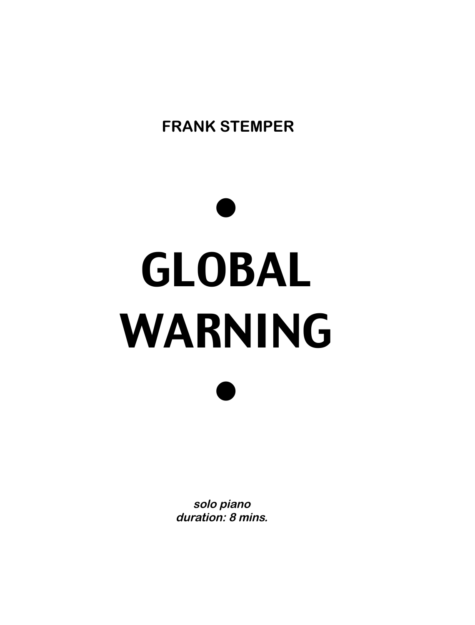**FRANK STEMPER**

# $\bullet$ GLOBAL WARNING  $\bullet$

**solo piano duration: 8 mins.**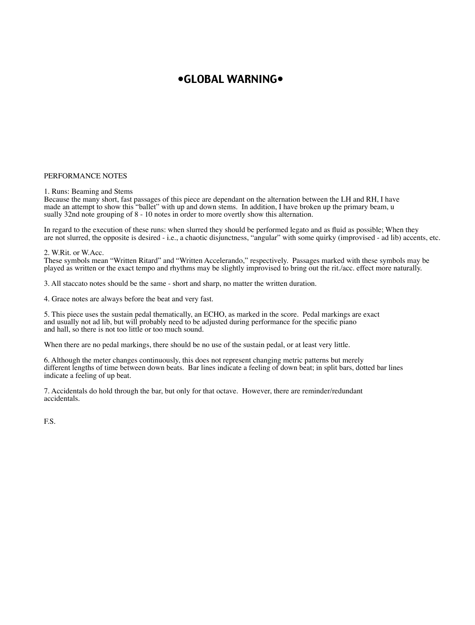## •GLOBAL WARNING•

### PERFORMANCE NOTES

### 1. Runs: Beaming and Stems

Because the many short, fast passages of this piece are dependant on the alternation between the LH and RH, I have made an attempt to show this "ballet" with up and down stems. In addition, I have broken up the primary beam, u sually 32nd note grouping of 8 - 10 notes in order to more overtly show this alternation.

In regard to the execution of these runs: when slurred they should be performed legato and as fluid as possible; When they are not slurred, the opposite is desired - i.e., a chaotic disjunctness, "angular" with some quirky (improvised - ad lib) accents, etc.

### 2. W.Rit. or W.Acc.

These symbols mean "Written Ritard" and "Written Accelerando," respectively. Passages marked with these symbols may be played as written or the exact tempo and rhythms may be slightly improvised to bring out the rit./acc. effect more naturally.

3. All staccato notes should be the same - short and sharp, no matter the written duration.

4. Grace notes are always before the beat and very fast.

5. This piece uses the sustain pedal thematically, an ECHO, as marked in the score. Pedal markings are exact and usually not ad lib, but will probably need to be adjusted during performance for the specific piano and hall, so there is not too little or too much sound.

When there are no pedal markings, there should be no use of the sustain pedal, or at least very little.

6. Although the meter changes continuously, this does not represent changing metric patterns but merely different lengths of time between down beats. Bar lines indicate a feeling of down beat; in split bars, dotted bar lines indicate a feeling of up beat.

7. Accidentals do hold through the bar, but only for that octave. However, there are reminder/redundant accidentals.

F.S.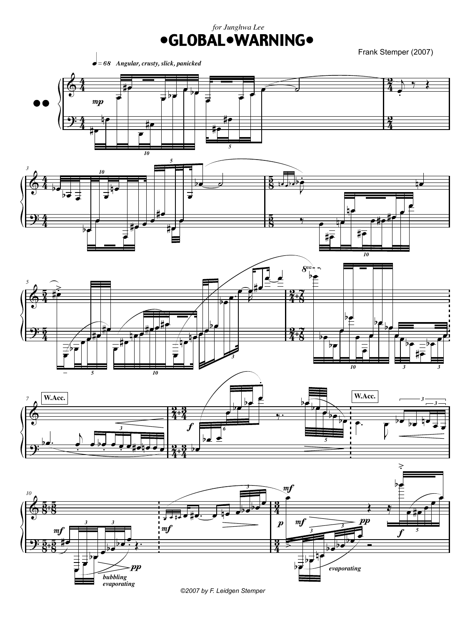# •GLOBAL•WARNING• *for Junghwa Lee*

Frank Stemper (2007)



*©2007 by F. Leidgen Stemper*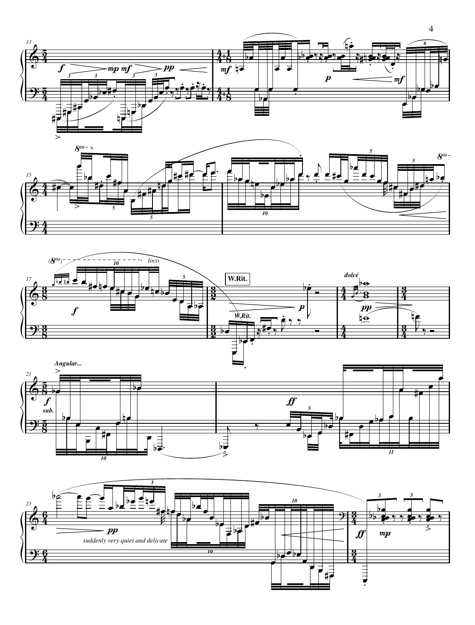







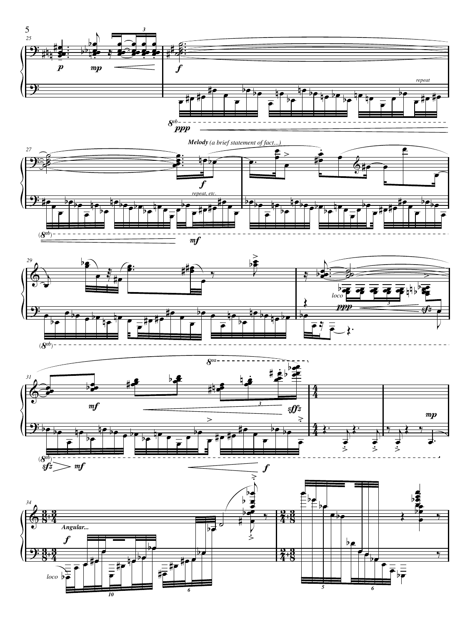

 $\frac{\partial^{v b}}{\partial}$  $\frac{1}{2}$  =  $\frac{1}{2}$  =  $\frac{1}{2}$  =  $\frac{1}{2}$  =  $\frac{1}{2}$  $- - - - \frac{1}{2}$ ppp<br>µ







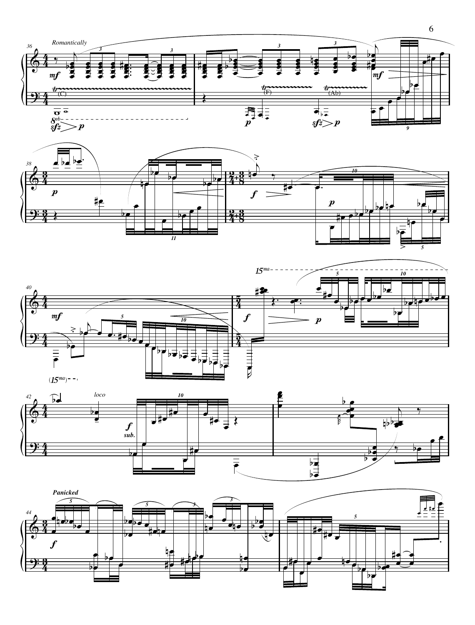









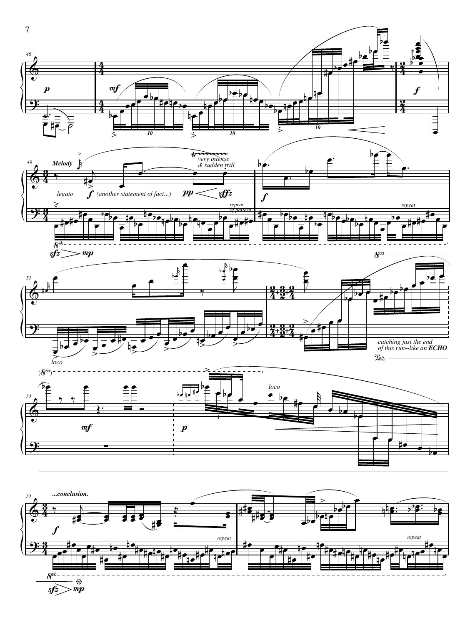

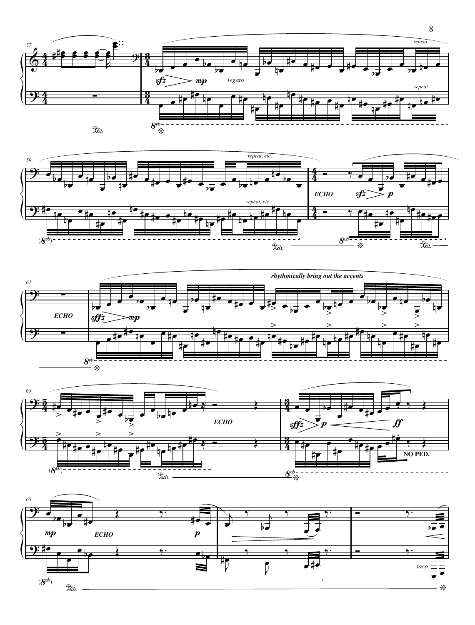







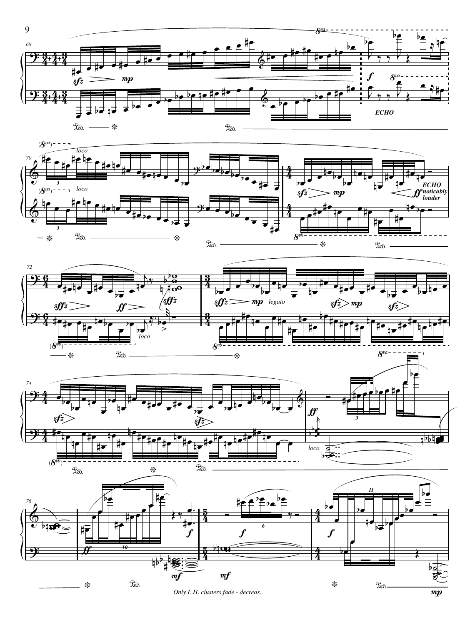









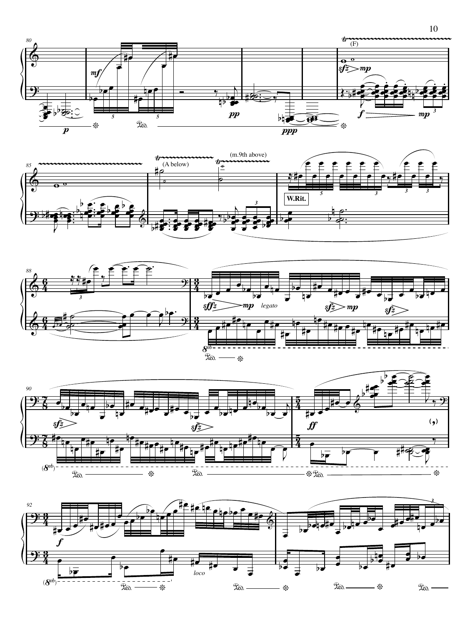







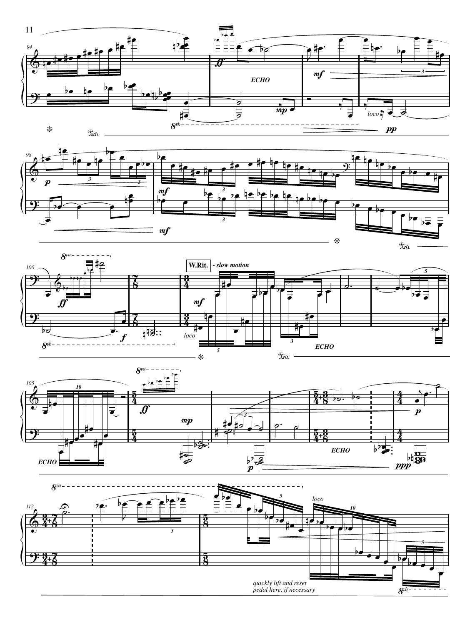







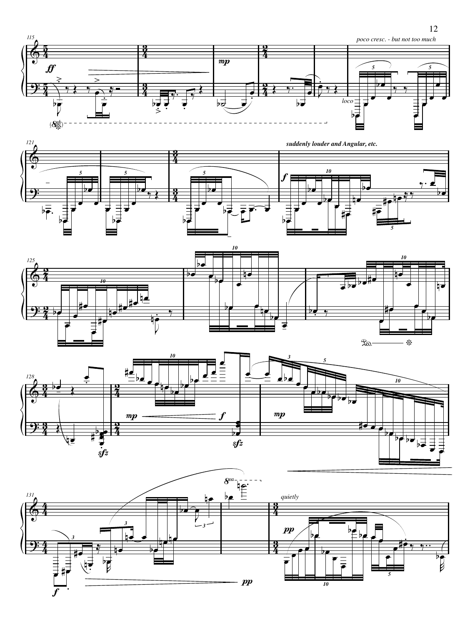







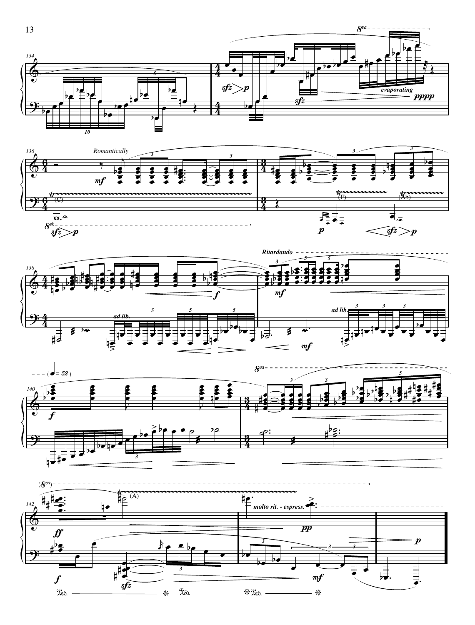